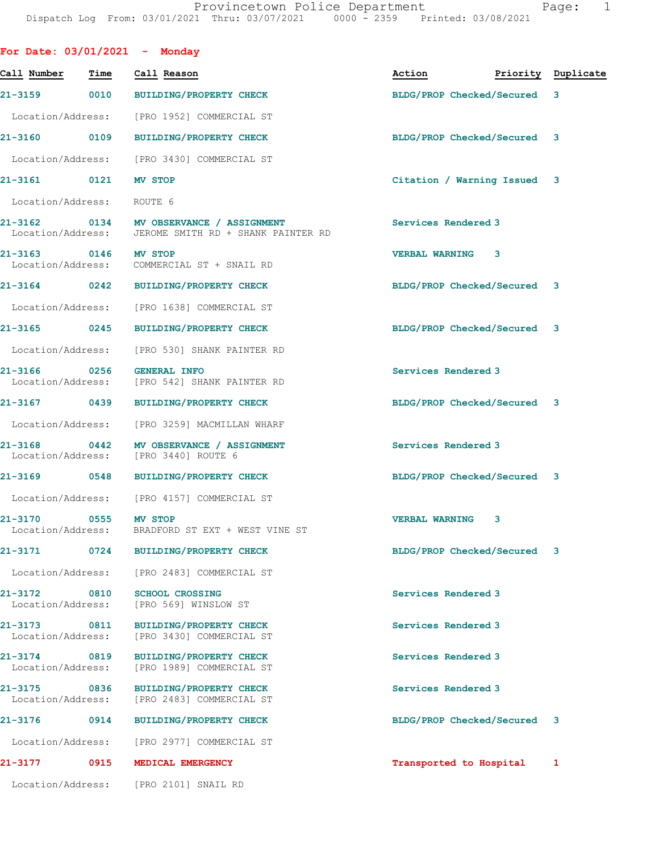| For Date: 03/01/2021 - Monday        |                   |                                                                    |                                  |      |   |
|--------------------------------------|-------------------|--------------------------------------------------------------------|----------------------------------|------|---|
| Call Number - Time                   |                   | Call Reason                                                        | Action <b>Priority</b> Duplicate |      |   |
| 21-3159                              | 0010              | BUILDING/PROPERTY CHECK                                            | BLDG/PROP Checked/Secured        |      | 3 |
|                                      |                   | Location/Address: [PRO 1952] COMMERCIAL ST                         |                                  |      |   |
| 21-3160 0109                         |                   | <b>BUILDING/PROPERTY CHECK</b>                                     | BLDG/PROP Checked/Secured 3      |      |   |
|                                      |                   | Location/Address: [PRO 3430] COMMERCIAL ST                         |                                  |      |   |
| 21-3161 0121                         |                   | <b>MV STOP</b>                                                     | Citation / Warning Issued 3      |      |   |
| Location/Address:                    |                   | ROUTE 6                                                            |                                  |      |   |
| 21-3162 0134<br>Location/Address:    |                   | MV OBSERVANCE / ASSIGNMENT<br>JEROME SMITH RD + SHANK PAINTER RD   | Services Rendered 3              |      |   |
| 21-3163 0146<br>Location/Address:    |                   | <b>MV STOP</b><br>COMMERCIAL ST + SNAIL RD                         | <b>VERBAL WARNING</b>            | 3    |   |
| 21-3164 0242                         |                   | <b>BUILDING/PROPERTY CHECK</b>                                     | BLDG/PROP Checked/Secured 3      |      |   |
|                                      |                   | Location/Address: [PRO 1638] COMMERCIAL ST                         |                                  |      |   |
| 21-3165 0245                         |                   | BUILDING/PROPERTY CHECK                                            | BLDG/PROP Checked/Secured 3      |      |   |
| Location/Address:                    |                   | [PRO 530] SHANK PAINTER RD                                         |                                  |      |   |
| 0256<br>21-3166<br>Location/Address: |                   | <b>GENERAL INFO</b><br>[PRO 542] SHANK PAINTER RD                  | Services Rendered 3              |      |   |
| 21-3167 0439                         |                   | <b>BUILDING/PROPERTY CHECK</b>                                     | BLDG/PROP Checked/Secured 3      |      |   |
|                                      |                   | Location/Address: [PRO 3259] MACMILLAN WHARF                       |                                  |      |   |
| 21-3168<br>Location/Address:         | $\overline{0442}$ | MV OBSERVANCE / ASSIGNMENT<br>[PRO 3440] ROUTE 6                   | Services Rendered 3              |      |   |
| 21-3169 0548                         |                   | BUILDING/PROPERTY CHECK                                            | BLDG/PROP Checked/Secured 3      |      |   |
|                                      |                   | Location/Address: [PRO 4157] COMMERCIAL ST                         |                                  |      |   |
| 21-3170 0555                         |                   | <b>MV STOP</b><br>Location/Address: BRADFORD ST EXT + WEST VINE ST | <b>VERBAL WARNING</b>            | - 3- |   |
| 21-3171 0724                         |                   | <b>BUILDING/PROPERTY CHECK</b>                                     | BLDG/PROP Checked/Secured 3      |      |   |
|                                      |                   | Location/Address: [PRO 2483] COMMERCIAL ST                         |                                  |      |   |
| 21-3172 0810<br>Location/Address:    |                   | <b>SCHOOL CROSSING</b><br>[PRO 569] WINSLOW ST                     | Services Rendered 3              |      |   |
| 21-3173 0811<br>Location/Address:    |                   | <b>BUILDING/PROPERTY CHECK</b><br>[PRO 3430] COMMERCIAL ST         | Services Rendered 3              |      |   |
| 21-3174 0819<br>Location/Address:    |                   | <b>BUILDING/PROPERTY CHECK</b><br>[PRO 1989] COMMERCIAL ST         | Services Rendered 3              |      |   |
| 21-3175 0836<br>Location/Address:    |                   | <b>BUILDING/PROPERTY CHECK</b><br>[PRO 2483] COMMERCIAL ST         | Services Rendered 3              |      |   |
| 21-3176 0914                         |                   | <b>BUILDING/PROPERTY CHECK</b>                                     | BLDG/PROP Checked/Secured        |      | 3 |
|                                      |                   | Location/Address: [PRO 2977] COMMERCIAL ST                         |                                  |      |   |
| 21-3177 0915                         |                   | MEDICAL EMERGENCY                                                  | Transported to Hospital          |      | 1 |
| Location/Address:                    |                   | [PRO 2101] SNAIL RD                                                |                                  |      |   |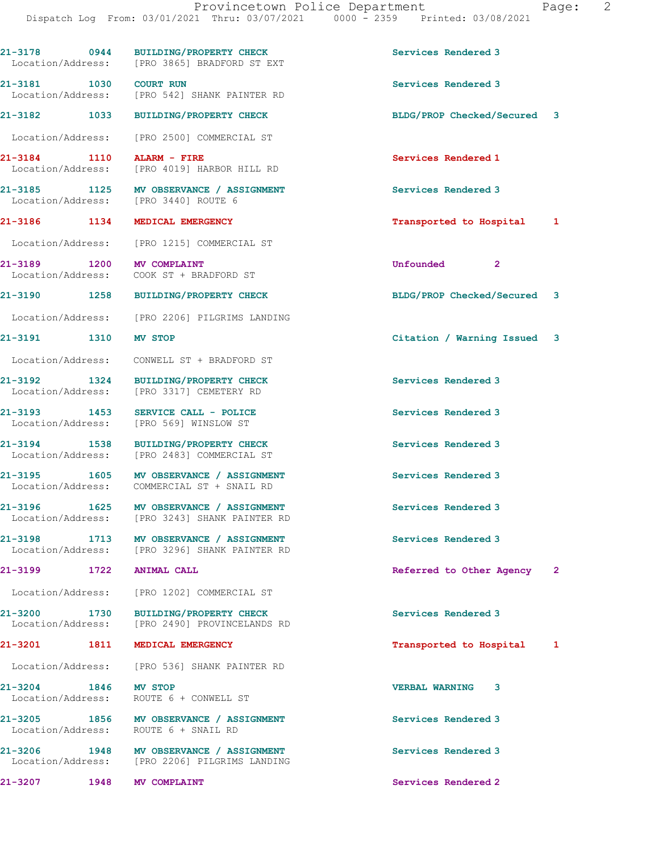| 21-3178 0944                         | BUILDING/PROPERTY CHECK<br>Location/Address: [PRO 3865] BRADFORD ST EXT                  | Services Rendered 3         |   |
|--------------------------------------|------------------------------------------------------------------------------------------|-----------------------------|---|
| 21-3181 1030 COURT RUN               | Location/Address: [PRO 542] SHANK PAINTER RD                                             | Services Rendered 3         |   |
|                                      | 21-3182 1033 BUILDING/PROPERTY CHECK                                                     | BLDG/PROP Checked/Secured 3 |   |
|                                      | Location/Address: [PRO 2500] COMMERCIAL ST                                               |                             |   |
| 21-3184 1110                         | ALARM - FIRE<br>Location/Address: [PRO 4019] HARBOR HILL RD                              | Services Rendered 1         |   |
|                                      | 21-3185 1125 MV OBSERVANCE / ASSIGNMENT<br>Location/Address: [PRO 3440] ROUTE 6          | Services Rendered 3         |   |
|                                      | 21-3186 1134 MEDICAL EMERGENCY                                                           | Transported to Hospital 1   |   |
|                                      | Location/Address: [PRO 1215] COMMERCIAL ST                                               |                             |   |
| 1200<br>21-3189<br>Location/Address: | <b>MV COMPLAINT</b><br>COOK ST + BRADFORD ST                                             | Unfounded<br>$\mathbf{2}$   |   |
|                                      | 21-3190 1258 BUILDING/PROPERTY CHECK                                                     | BLDG/PROP Checked/Secured 3 |   |
|                                      | Location/Address: [PRO 2206] PILGRIMS LANDING                                            |                             |   |
| 21-3191 1310                         | <b>MV STOP</b>                                                                           | Citation / Warning Issued 3 |   |
| Location/Address:                    | CONWELL ST + BRADFORD ST                                                                 |                             |   |
| 21-3192 1324<br>Location/Address:    | <b>BUILDING/PROPERTY CHECK</b><br>[PRO 3317] CEMETERY RD                                 | Services Rendered 3         |   |
| 21-3193 1453<br>Location/Address:    | SERVICE CALL - POLICE<br>[PRO 569] WINSLOW ST                                            | Services Rendered 3         |   |
| 21-3194 1538                         | <b>BUILDING/PROPERTY CHECK</b><br>Location/Address: [PRO 2483] COMMERCIAL ST             | Services Rendered 3         |   |
|                                      | 21-3195 1605 MV OBSERVANCE / ASSIGNMENT<br>Location/Address: COMMERCIAL ST + SNAIL RD    | Services Rendered 3         |   |
|                                      | 21-3196 1625 MV OBSERVANCE / ASSIGNMENT<br>Location/Address: [PRO 3243] SHANK PAINTER RD | Services Rendered 3         |   |
|                                      | 21-3198 1713 MV OBSERVANCE / ASSIGNMENT<br>Location/Address: [PRO 3296] SHANK PAINTER RD | Services Rendered 3         |   |
| 21–3199                              | 1722 ANIMAL CALL                                                                         | Referred to Other Agency 2  |   |
|                                      | Location/Address: [PRO 1202] COMMERCIAL ST                                               |                             |   |
|                                      | 21-3200 1730 BUILDING/PROPERTY CHECK<br>Location/Address: [PRO 2490] PROVINCELANDS RD    | Services Rendered 3         |   |
|                                      | 21-3201 1811 MEDICAL EMERGENCY                                                           | Transported to Hospital     | 1 |
|                                      | Location/Address: [PRO 536] SHANK PAINTER RD                                             |                             |   |
| 21-3204 1846 MV STOP                 | Location/Address: ROUTE 6 + CONWELL ST                                                   | <b>VERBAL WARNING</b><br>3  |   |
|                                      | 21-3205 1856 MV OBSERVANCE / ASSIGNMENT<br>Location/Address: ROUTE 6 + SNAIL RD          | Services Rendered 3         |   |
|                                      | 21-3206 1948 MV OBSERVANCE / ASSIGNMENT<br>Location/Address: [PRO 2206] PILGRIMS LANDING | Services Rendered 3         |   |
| 21-3207 1948 MV COMPLAINT            |                                                                                          | Services Rendered 2         |   |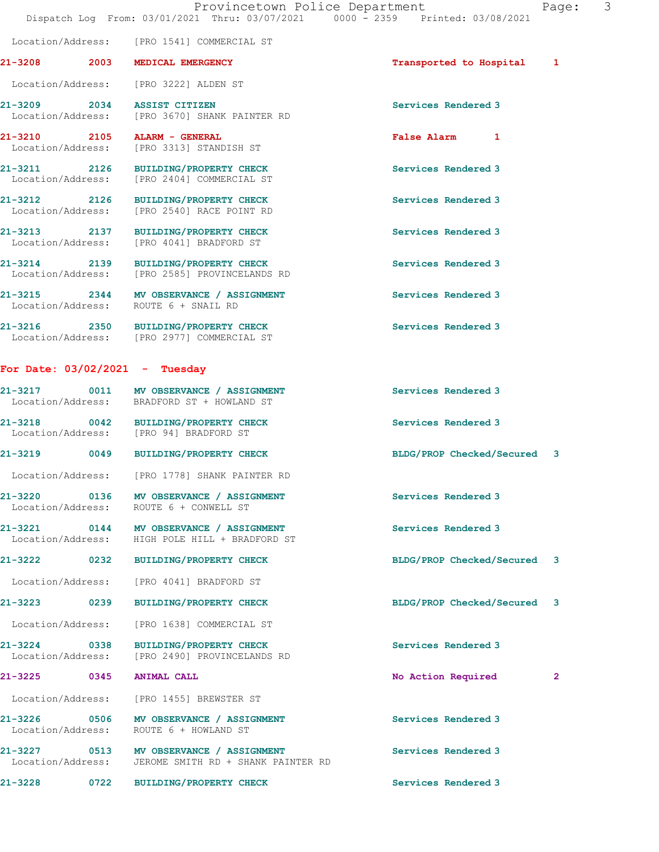21-3208 2003 MEDICAL EMERGENCY **2008** Transported to Hospital 1

21-3209 2034 ASSIST CITIZEN Services Rendered 3 Location/Address: [PRO 3670] SHANK PAINTER RD 21-3210 2105 ALARM - GENERAL **False Alarm 1**<br>
Location/Address: [PRO 3313] STANDISH ST [PRO 3313] STANDISH ST 21-3211 2126 BUILDING/PROPERTY CHECK Services Rendered 3 Location/Address: [PRO 2404] COMMERCIAL ST 21-3212 2126 BUILDING/PROPERTY CHECK Services Rendered 3 Location/Address: [PRO 2540] RACE POINT RD 21-3213 2137 BUILDING/PROPERTY CHECK Services Rendered 3 Location/Address: [PRO 4041] BRADFORD ST 21-3214 2139 BUILDING/PROPERTY CHECK Services Rendered 3 Location/Address: [PRO 2585] PROVINCELANDS RD 21-3215 2344 MV OBSERVANCE / ASSIGNMENT Services Rendered 3<br>
Location/Address: ROUTE 6 + SNAIL RD Location/Address: 21-3216 2350 BUILDING/PROPERTY CHECK Services Rendered 3 Location/Address: [PRO 2977] COMMERCIAL ST For Date: 03/02/2021 - Tuesday

Location/Address: [PRO 1541] COMMERCIAL ST

Location/Address: [PRO 3222] ALDEN ST

## 21-3217 0011 MV OBSERVANCE / ASSIGNMENT Services Rendered 3 Location/Address: BRADFORD ST + HOWLAND ST 21-3218 0042 BUILDING/PROPERTY CHECK Services Rendered 3 Location/Address: [PRO 94] BRADFORD ST 21-3219 0049 BUILDING/PROPERTY CHECK BLDG/PROP Checked/Secured 3 Location/Address: [PRO 1778] SHANK PAINTER RD 21-3220 0136 MV OBSERVANCE / ASSIGNMENT Services Rendered 3 Location/Address: ROUTE 6 + CONWELL ST 21-3221 0144 MV OBSERVANCE / ASSIGNMENT Services Rendered 3 Location/Address: HIGH POLE HILL + BRADFORD ST 21-3222 0232 BUILDING/PROPERTY CHECK BLDG/PROP Checked/Secured 3 Location/Address: [PRO 4041] BRADFORD ST 21-3223 0239 BUILDING/PROPERTY CHECK BLDG/PROP Checked/Secured 3 Location/Address: [PRO 1638] COMMERCIAL ST 21-3224 0338 BUILDING/PROPERTY CHECK Services Rendered 3 Location/Address: [PRO 2490] PROVINCELANDS RD

21-3225 0345 ANIMAL CALL No Action Required 2

 Location/Address: [PRO 1455] BREWSTER ST 21-3226 0506 MV OBSERVANCE / ASSIGNMENT Services Rendered 3 Location/Address: ROUTE 6 + HOWLAND ST 21-3227 0513 MV OBSERVANCE / ASSIGNMENT Services Rendered 3 Location/Address: JEROME SMITH RD + SHANK PAINTER RD

21-3228 0722 BUILDING/PROPERTY CHECK Services Rendered 3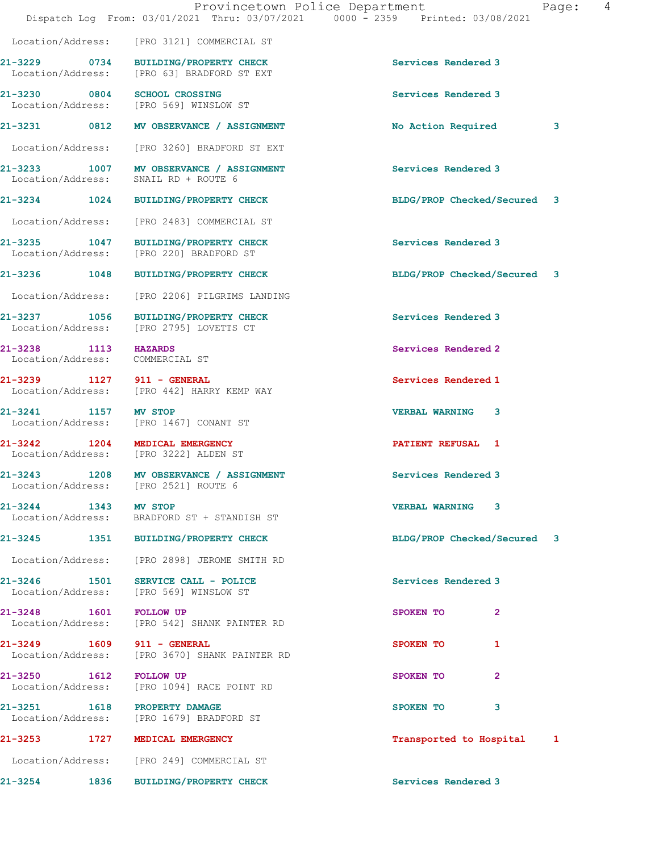|                                                         | Dispatch Log From: 03/01/2021 Thru: 03/07/2021 0000 - 2359 Printed: 03/08/2021     | Provincetown Police Department<br>Page: 4 |  |
|---------------------------------------------------------|------------------------------------------------------------------------------------|-------------------------------------------|--|
|                                                         | Location/Address: [PRO 3121] COMMERCIAL ST                                         |                                           |  |
|                                                         | 21-3229 0734 BUILDING/PROPERTY CHECK<br>Location/Address: [PRO 63] BRADFORD ST EXT | Services Rendered 3                       |  |
| 21-3230 0804 SCHOOL CROSSING                            | Location/Address: [PRO 569] WINSLOW ST                                             | Services Rendered 3                       |  |
|                                                         | 21-3231 0812 MV OBSERVANCE / ASSIGNMENT                                            | No Action Required<br>3                   |  |
|                                                         | Location/Address: [PRO 3260] BRADFORD ST EXT                                       |                                           |  |
|                                                         | 21-3233 1007 MV OBSERVANCE / ASSIGNMENT<br>Location/Address: SNAIL RD + ROUTE 6    | Services Rendered 3                       |  |
|                                                         | 21-3234 1024 BUILDING/PROPERTY CHECK                                               | BLDG/PROP Checked/Secured 3               |  |
|                                                         | Location/Address: [PRO 2483] COMMERCIAL ST                                         |                                           |  |
|                                                         | 21-3235 1047 BUILDING/PROPERTY CHECK<br>Location/Address: [PRO 220] BRADFORD ST    | Services Rendered 3                       |  |
|                                                         | 21-3236 1048 BUILDING/PROPERTY CHECK                                               | BLDG/PROP Checked/Secured 3               |  |
|                                                         | Location/Address: [PRO 2206] PILGRIMS LANDING                                      |                                           |  |
|                                                         | 21-3237 1056 BUILDING/PROPERTY CHECK<br>Location/Address: [PRO 2795] LOVETTS CT    | Services Rendered 3                       |  |
| 21-3238 1113 HAZARDS<br>Location/Address: COMMERCIAL ST |                                                                                    | Services Rendered 2                       |  |
|                                                         | 21-3239 1127 911 - GENERAL<br>Location/Address: [PRO 442] HARRY KEMP WAY           | Services Rendered 1                       |  |
| 21-3241 1157 MV STOP                                    | Location/Address: [PRO 1467] CONANT ST                                             | <b>VERBAL WARNING 3</b>                   |  |
| 21-3242 1204 MEDICAL EMERGENCY                          | Location/Address: [PRO 3222] ALDEN ST                                              | <b>PATIENT REFUSAL 1</b>                  |  |
|                                                         | 21-3243 1208 MV OBSERVANCE / ASSIGNMENT<br>Location/Address: [PRO 2521] ROUTE 6    | Services Rendered 3                       |  |
| 21-3244 1343 MV STOP                                    | Location/Address: BRADFORD ST + STANDISH ST                                        | <b>VERBAL WARNING 3</b>                   |  |
|                                                         | 21-3245 1351 BUILDING/PROPERTY CHECK                                               | BLDG/PROP Checked/Secured 3               |  |
|                                                         | Location/Address: [PRO 2898] JEROME SMITH RD                                       |                                           |  |
|                                                         | 21-3246 1501 SERVICE CALL - POLICE<br>Location/Address: [PRO 569] WINSLOW ST       | Services Rendered 3                       |  |
| 21-3248 1601                                            | <b>FOLLOW UP</b><br>Location/Address: [PRO 542] SHANK PAINTER RD                   | SPOKEN TO<br>$\mathbf{2}$                 |  |
| 21-3249 1609 911 - GENERAL                              | Location/Address: [PRO 3670] SHANK PAINTER RD                                      | SPOKEN TO<br>1                            |  |
| 21-3250 1612<br>Location/Address:                       | <b>FOLLOW UP</b><br>[PRO 1094] RACE POINT RD                                       | SPOKEN TO<br>$\overline{2}$               |  |
| 21-3251 1618 PROPERTY DAMAGE                            | Location/Address: [PRO 1679] BRADFORD ST                                           | SPOKEN TO<br>3                            |  |
| 21-3253 1727 MEDICAL EMERGENCY                          |                                                                                    | Transported to Hospital<br>1              |  |
|                                                         | Location/Address: [PRO 249] COMMERCIAL ST                                          |                                           |  |
|                                                         |                                                                                    |                                           |  |

21-3254 1836 BUILDING/PROPERTY CHECK Services Rendered 3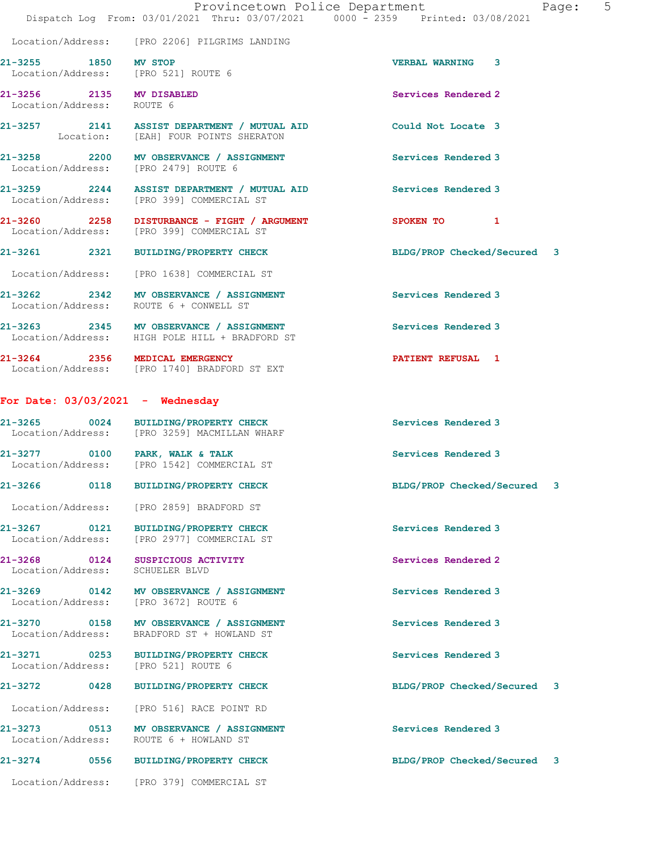|                           |                                                                                       | Provincetown Police Department<br>Dispatch Log From: 03/01/2021 Thru: 03/07/2021 0000 - 2359 Printed: 03/08/2021 |                    |                             | Page: | $5^{\circ}$ |
|---------------------------|---------------------------------------------------------------------------------------|------------------------------------------------------------------------------------------------------------------|--------------------|-----------------------------|-------|-------------|
|                           |                                                                                       |                                                                                                                  |                    |                             |       |             |
|                           | Location/Address: [PRO 2206] PILGRIMS LANDING                                         |                                                                                                                  |                    |                             |       |             |
| 21-3255 1850 MV STOP      | Location/Address: [PRO 521] ROUTE 6                                                   |                                                                                                                  |                    | <b>VERBAL WARNING 3</b>     |       |             |
| Location/Address: ROUTE 6 | 21-3256 2135 MV DISABLED                                                              |                                                                                                                  |                    | Services Rendered 2         |       |             |
|                           | Location: [EAH] FOUR POINTS SHERATON                                                  | 21-3257 2141 ASSIST DEPARTMENT / MUTUAL AID                                                                      | Could Not Locate 3 |                             |       |             |
|                           | Location/Address: [PRO 2479] ROUTE 6                                                  | 21-3258 2200 MV OBSERVANCE / ASSIGNMENT                                                                          |                    | Services Rendered 3         |       |             |
|                           | Location/Address: [PRO 399] COMMERCIAL ST                                             | 21-3259 2244 ASSIST DEPARTMENT / MUTUAL AID                                                                      |                    | Services Rendered 3         |       |             |
|                           |                                                                                       | 21-3260 2258 DISTURBANCE - FIGHT / ARGUMENT<br>Location/Address: [PRO 399] COMMERCIAL ST                         |                    | SPOKEN TO 1                 |       |             |
|                           | 21-3261 2321 BUILDING/PROPERTY CHECK                                                  |                                                                                                                  |                    | BLDG/PROP Checked/Secured 3 |       |             |
|                           | Location/Address: [PRO 1638] COMMERCIAL ST                                            |                                                                                                                  |                    |                             |       |             |
|                           | 21-3262 2342 MV OBSERVANCE / ASSIGNMENT<br>Location/Address: ROUTE 6 + CONWELL ST     |                                                                                                                  |                    | <b>Services Rendered 3</b>  |       |             |
|                           | Location/Address: HIGH POLE HILL + BRADFORD ST                                        | 21-3263 2345 MV OBSERVANCE / ASSIGNMENT                                                                          |                    | Services Rendered 3         |       |             |
|                           | 21-3264 2356 MEDICAL EMERGENCY<br>Location/Address: [PRO 1740] BRADFORD ST EXT        |                                                                                                                  |                    | <b>PATIENT REFUSAL 1</b>    |       |             |
|                           | For Date: $03/03/2021$ - Wednesday                                                    |                                                                                                                  |                    |                             |       |             |
|                           |                                                                                       |                                                                                                                  |                    |                             |       |             |
|                           | 21-3265 0024 BUILDING/PROPERTY CHECK<br>Location/Address: [PRO 3259] MACMILLAN WHARF  |                                                                                                                  |                    | Services Rendered 3         |       |             |
|                           | 21-3277 0100 PARK, WALK & TALK<br>Location/Address: [PRO 1542] COMMERCIAL ST          |                                                                                                                  |                    | Services Rendered 3         |       |             |
| 0118<br>21-3266           | BUILDING/PROPERTY CHECK                                                               |                                                                                                                  |                    | BLDG/PROP Checked/Secured 3 |       |             |
|                           | Location/Address: [PRO 2859] BRADFORD ST                                              |                                                                                                                  |                    |                             |       |             |
|                           | 21-3267 0121 BUILDING/PROPERTY CHECK<br>Location/Address: [PRO 2977] COMMERCIAL ST    |                                                                                                                  |                    | Services Rendered 3         |       |             |
|                           | 21-3268 0124 SUSPICIOUS ACTIVITY<br>Location/Address: SCHUELER BLVD                   |                                                                                                                  |                    | Services Rendered 2         |       |             |
| 21-3269 0142              | Location/Address: [PRO 3672] ROUTE 6                                                  | MV OBSERVANCE / ASSIGNMENT                                                                                       |                    | Services Rendered 3         |       |             |
|                           | 21-3270 0158 MV OBSERVANCE / ASSIGNMENT<br>Location/Address: BRADFORD ST + HOWLAND ST |                                                                                                                  |                    | Services Rendered 3         |       |             |
|                           | 21-3271 0253 BUILDING/PROPERTY CHECK<br>Location/Address: [PRO 521] ROUTE 6           |                                                                                                                  |                    | Services Rendered 3         |       |             |
| 21-3272 0428              | BUILDING/PROPERTY CHECK                                                               |                                                                                                                  |                    | BLDG/PROP Checked/Secured 3 |       |             |
|                           | Location/Address: [PRO 516] RACE POINT RD                                             |                                                                                                                  |                    |                             |       |             |
|                           | 21-3273 0513 MV OBSERVANCE / ASSIGNMENT<br>Location/Address: ROUTE 6 + HOWLAND ST     |                                                                                                                  |                    | Services Rendered 3         |       |             |
|                           | 21-3274 0556 BUILDING/PROPERTY CHECK                                                  |                                                                                                                  |                    | BLDG/PROP Checked/Secured 3 |       |             |
|                           | Location/Address: [PRO 379] COMMERCIAL ST                                             |                                                                                                                  |                    |                             |       |             |
|                           |                                                                                       |                                                                                                                  |                    |                             |       |             |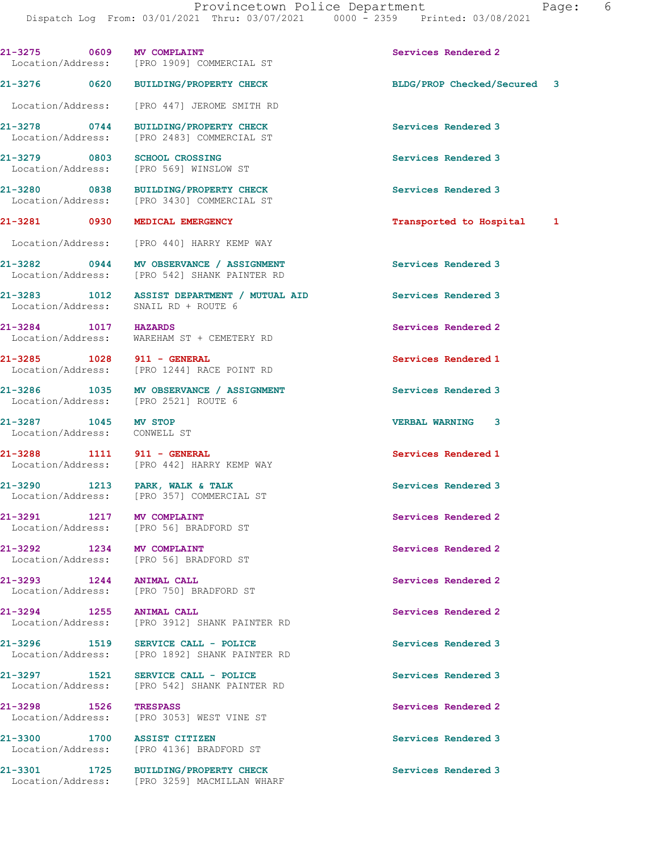21-3276 0620 BUILDING/PROPERTY CHECK BLDG/PROP Checked/Secured 3

21-3275 0609 MV COMPLAINT Services Rendered 2

 Location/Address: [PRO 447] JEROME SMITH RD 21-3278 0744 BUILDING/PROPERTY CHECK Services Rendered 3 Location/Address: [PRO 2483] COMMERCIAL ST 21-3279 0803 SCHOOL CROSSING SERVICES Rendered 3 Location/Address: [PRO 569] WINSLOW ST 21-3280 0838 BUILDING/PROPERTY CHECK Services Rendered 3 Location/Address: [PRO 3430] COMMERCIAL ST 21-3281 0930 MEDICAL EMERGENCY **120 CONTACT 1 Transported to Hospital** 1 Location/Address: [PRO 440] HARRY KEMP WAY 21-3282 0944 MV OBSERVANCE / ASSIGNMENT Services Rendered 3 Location/Address: [PRO 542] SHANK PAINTER RD 21-3283 1012 ASSIST DEPARTMENT / MUTUAL AID Services Rendered 3 Location/Address: SNAIL RD + ROUTE 6 21-3284 1017 HAZARDS Services Rendered 2 Location/Address: WAREHAM ST + CEMETERY RD 21-3285 1028 911 - GENERAL Services Rendered 1 Location/Address: [PRO 1244] RACE POINT RD 21-3286 1035 MV OBSERVANCE / ASSIGNMENT Services Rendered 3<br>
Location/Address: [PRO 2521] ROUTE 6 Location/Address: 21-3287 1045 MV STOP VERBAL WARNING 3 Location/Address: CONWELL ST 21-3288 1111 911 - GENERAL Services Rendered 1 Location/Address: [PRO 442] HARRY KEMP WAY 21-3290 1213 PARK, WALK & TALK Services Rendered 3 Location/Address: [PRO 357] COMMERCIAL ST 21-3291 1217 MV COMPLAINT Services Rendered 2 Location/Address: [PRO 56] BRADFORD ST 21-3292 1234 MV COMPLAINT<br>
Location/Address: [PRO 56] BRADFORD ST [PRO 56] BRADFORD ST 21-3293 1244 ANIMAL CALL 21-3293 1244 21-3293 1244 Services Rendered 2 [PRO 750] BRADFORD ST 21-3294 1255 ANIMAL CALL Services Rendered 2 Location/Address: [PRO 3912] SHANK PAINTER RD 21-3296 1519 SERVICE CALL - POLICE Services Rendered 3 Location/Address: [PRO 1892] SHANK PAINTER RD 21-3297 1521 SERVICE CALL - POLICE Services Rendered 3 Location/Address: [PRO 542] SHANK PAINTER RD 21-3298 1526 TRESPASS Services Rendered 2 Location/Address: [PRO 3053] WEST VINE ST 21-3300 1700 ASSIST CITIZEN Services Rendered 3

Location/Address: [PRO 1909] COMMERCIAL ST

Location/Address: [PRO 4136] BRADFORD ST

21-3301 1725 BUILDING/PROPERTY CHECK Services Rendered 3 Location/Address: [PRO 3259] MACMILLAN WHARF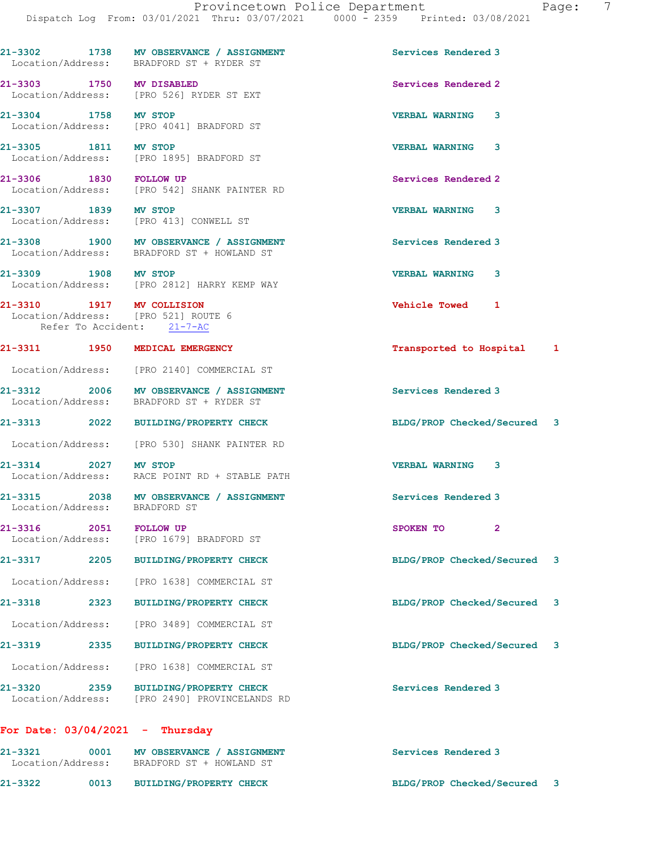|                                                                                                | 21-3302 1738 MV OBSERVANCE / ASSIGNMENT<br>Location/Address: BRADFORD ST + RYDER ST   | Services Rendered 3         |  |
|------------------------------------------------------------------------------------------------|---------------------------------------------------------------------------------------|-----------------------------|--|
|                                                                                                | 21-3303 1750 MV DISABLED<br>Location/Address: [PRO 526] RYDER ST EXT                  | Services Rendered 2         |  |
| 21-3304 1758 MV STOP                                                                           | Location/Address: [PRO 4041] BRADFORD ST                                              | <b>VERBAL WARNING</b><br>3  |  |
| 21-3305 1811 MV STOP                                                                           | Location/Address: [PRO 1895] BRADFORD ST                                              | <b>VERBAL WARNING</b><br>3  |  |
| 21-3306 1830 FOLLOW UP                                                                         | Location/Address: [PRO 542] SHANK PAINTER RD                                          | Services Rendered 2         |  |
| 21-3307 1839 MV STOP                                                                           | Location/Address: [PRO 413] CONWELL ST                                                | <b>VERBAL WARNING 3</b>     |  |
|                                                                                                | 21-3308 1900 MV OBSERVANCE / ASSIGNMENT<br>Location/Address: BRADFORD ST + HOWLAND ST | Services Rendered 3         |  |
| 21-3309 1908 MV STOP                                                                           | Location/Address: [PRO 2812] HARRY KEMP WAY                                           | <b>VERBAL WARNING 3</b>     |  |
| 21-3310 1917 MV COLLISION<br>Location/Address: [PRO 521] ROUTE 6<br>Refer To Accident: 21-7-AC |                                                                                       | Vehicle Towed 1             |  |
| 21-3311 1950 MEDICAL EMERGENCY                                                                 |                                                                                       | Transported to Hospital 1   |  |
|                                                                                                | Location/Address: [PRO 2140] COMMERCIAL ST                                            |                             |  |
|                                                                                                | 21-3312 2006 MV OBSERVANCE / ASSIGNMENT<br>Location/Address: BRADFORD ST + RYDER ST   | Services Rendered 3         |  |
|                                                                                                | 21-3313 2022 BUILDING/PROPERTY CHECK                                                  | BLDG/PROP Checked/Secured 3 |  |
|                                                                                                | Location/Address: [PRO 530] SHANK PAINTER RD                                          |                             |  |
| 21-3314 2027 MV STOP                                                                           | Location/Address: RACE POINT RD + STABLE PATH                                         | <b>VERBAL WARNING 3</b>     |  |
| Location/Address: BRADFORD ST                                                                  | 21-3315 2038 MV OBSERVANCE / ASSIGNMENT                                               | Services Rendered 3         |  |
| 21-3316 2051 FOLLOW UP                                                                         | Location/Address: [PRO 1679] BRADFORD ST                                              | SPOKEN TO                   |  |
|                                                                                                | 21-3317 2205 BUILDING/PROPERTY CHECK                                                  | BLDG/PROP Checked/Secured 3 |  |
| Location/Address:                                                                              | [PRO 1638] COMMERCIAL ST                                                              |                             |  |
| 21-3318                                                                                        | 2323 BUILDING/PROPERTY CHECK                                                          | BLDG/PROP Checked/Secured 3 |  |
|                                                                                                | Location/Address: [PRO 3489] COMMERCIAL ST                                            |                             |  |
| 21-3319<br>2335                                                                                | <b>BUILDING/PROPERTY CHECK</b>                                                        | BLDG/PROP Checked/Secured 3 |  |
|                                                                                                | Location/Address: [PRO 1638] COMMERCIAL ST                                            |                             |  |
|                                                                                                | 21-3320 2359 BUILDING/PROPERTY CHECK<br>Location/Address: [PRO 2490] PROVINCELANDS RD | Services Rendered 3         |  |
| For Date: $03/04/2021$ - Thursday                                                              |                                                                                       |                             |  |
| 21-3321                                                                                        | 0001 MV OBSERVANCE / ASSIGNMENT<br>Location/Address: BRADFORD ST + HOWLAND ST         | Services Rendered 3         |  |

21-3322 0013 BUILDING/PROPERTY CHECK BLDG/PROP Checked/Secured 3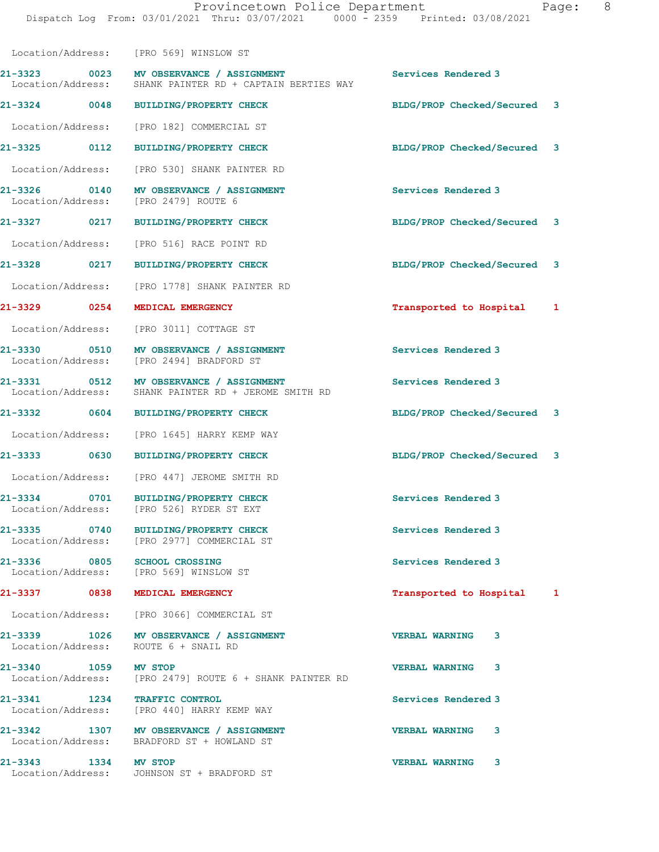|                                | Location/Address: [PRO 569] WINSLOW ST                                                              |                              |  |
|--------------------------------|-----------------------------------------------------------------------------------------------------|------------------------------|--|
|                                | 21-3323 0023 MV OBSERVANCE / ASSIGNMENT<br>Location/Address: SHANK PAINTER RD + CAPTAIN BERTIES WAY | Services Rendered 3          |  |
|                                | 21-3324 0048 BUILDING/PROPERTY CHECK                                                                | BLDG/PROP Checked/Secured 3  |  |
| Location/Address:              | [PRO 182] COMMERCIAL ST                                                                             |                              |  |
| 21-3325 0112                   | BUILDING/PROPERTY CHECK                                                                             | BLDG/PROP Checked/Secured 3  |  |
| Location/Address:              | [PRO 530] SHANK PAINTER RD                                                                          |                              |  |
|                                | 21-3326 0140 MV OBSERVANCE / ASSIGNMENT<br>Location/Address: [PRO 2479] ROUTE 6                     | Services Rendered 3          |  |
|                                | 21-3327 0217 BUILDING/PROPERTY CHECK                                                                | BLDG/PROP Checked/Secured 3  |  |
| Location/Address:              | [PRO 516] RACE POINT RD                                                                             |                              |  |
| 21-3328 0217                   | BUILDING/PROPERTY CHECK                                                                             | BLDG/PROP Checked/Secured 3  |  |
|                                | Location/Address: [PRO 1778] SHANK PAINTER RD                                                       |                              |  |
|                                | 21-3329 0254 MEDICAL EMERGENCY                                                                      | Transported to Hospital<br>1 |  |
|                                | Location/Address: [PRO 3011] COTTAGE ST                                                             |                              |  |
|                                | 21-3330 0510 MV OBSERVANCE / ASSIGNMENT<br>Location/Address: [PRO 2494] BRADFORD ST                 | Services Rendered 3          |  |
|                                | 21-3331 0512 MV OBSERVANCE / ASSIGNMENT<br>Location/Address: SHANK PAINTER RD + JEROME SMITH RD     | Services Rendered 3          |  |
|                                | 21-3332 0604 BUILDING/PROPERTY CHECK                                                                | BLDG/PROP Checked/Secured 3  |  |
| Location/Address:              | [PRO 1645] HARRY KEMP WAY                                                                           |                              |  |
| 21-3333 0630                   | <b>BUILDING/PROPERTY CHECK</b>                                                                      | BLDG/PROP Checked/Secured 3  |  |
|                                | Location/Address: [PRO 447] JEROME SMITH RD                                                         |                              |  |
|                                | 21-3334 0701 BUILDING/PROPERTY CHECK<br>Location/Address: [PRO 526] RYDER ST EXT                    | Services Rendered 3          |  |
| 21-3335 0740                   | BUILDING/PROPERTY CHECK<br>Location/Address: [PRO 2977] COMMERCIAL ST                               | Services Rendered 3          |  |
| 21-3336 0805 SCHOOL CROSSING   | Location/Address: [PRO 569] WINSLOW ST                                                              | Services Rendered 3          |  |
| 21-3337 0838 MEDICAL EMERGENCY |                                                                                                     | Transported to Hospital<br>1 |  |
|                                | Location/Address: [PRO 3066] COMMERCIAL ST                                                          |                              |  |
|                                | 21-3339 1026 MV OBSERVANCE / ASSIGNMENT<br>Location/Address: ROUTE 6 + SNAIL RD                     | <b>VERBAL WARNING</b><br>3   |  |
| 21-3340 1059 MV STOP           | Location/Address: [PRO 2479] ROUTE 6 + SHANK PAINTER RD                                             | <b>VERBAL WARNING 3</b>      |  |
| 21-3341 1234 TRAFFIC CONTROL   | Location/Address: [PRO 440] HARRY KEMP WAY                                                          | Services Rendered 3          |  |
|                                | 21-3342 1307 MV OBSERVANCE / ASSIGNMENT<br>Location/Address: BRADFORD ST + HOWLAND ST               | <b>VERBAL WARNING 3</b>      |  |
| 21-3343 1334 MV STOP           | Location/Address: JOHNSON ST + BRADFORD ST                                                          | <b>VERBAL WARNING</b><br>3   |  |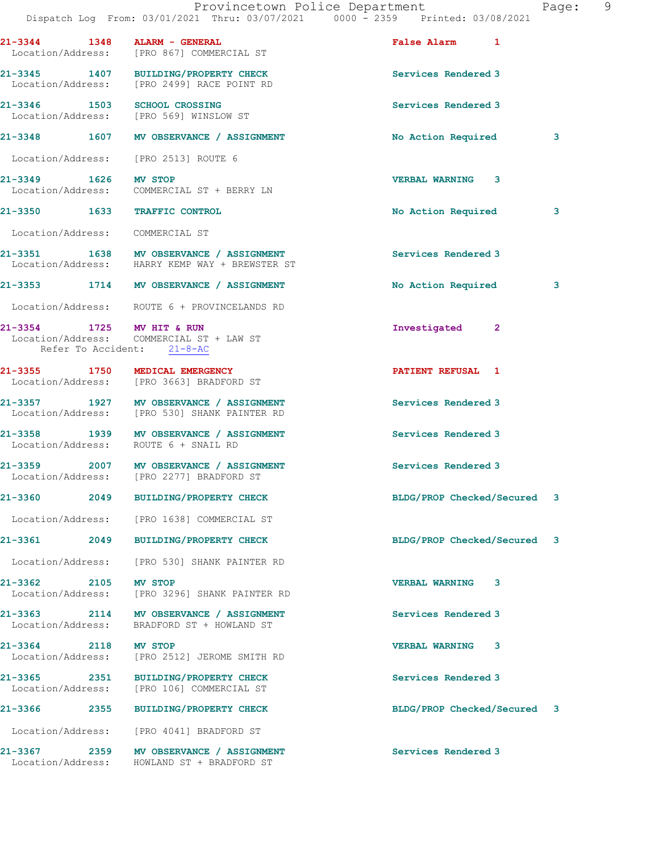|                                   | Provincetown Police Department<br>Dispatch Log From: 03/01/2021 Thru: 03/07/2021 0000 - 2359 Printed: 03/08/2021 |                             | Page: 9 |
|-----------------------------------|------------------------------------------------------------------------------------------------------------------|-----------------------------|---------|
|                                   | $21-3344$ 1348 ALARM - GENERAL<br>Location/Address: [PRO 867] COMMERCIAL ST                                      | False Alarm 1               |         |
|                                   | 21-3345 1407 BUILDING/PROPERTY CHECK<br>Location/Address: [PRO 2499] RACE POINT RD                               | Services Rendered 3         |         |
|                                   | 21-3346 1503 SCHOOL CROSSING<br>Location/Address: [PRO 569] WINSLOW ST                                           | Services Rendered 3         |         |
|                                   | 21-3348 1607 MV OBSERVANCE / ASSIGNMENT                                                                          | <b>No Action Required</b>   | 3       |
|                                   | Location/Address: [PRO 2513] ROUTE 6                                                                             |                             |         |
| 21-3349 1626 MV STOP              | Location/Address: COMMERCIAL ST + BERRY LN                                                                       | <b>VERBAL WARNING 3</b>     |         |
|                                   | 21-3350 1633 TRAFFIC CONTROL                                                                                     | No Action Required          | 3       |
| Location/Address: COMMERCIAL ST   |                                                                                                                  |                             |         |
|                                   | 21-3351 1638 MV OBSERVANCE / ASSIGNMENT<br>Location/Address: HARRY KEMP WAY + BREWSTER ST                        | Services Rendered 3         |         |
|                                   | 21-3353 1714 MV OBSERVANCE / ASSIGNMENT                                                                          | No Action Required          | 3       |
|                                   | Location/Address: ROUTE 6 + PROVINCELANDS RD                                                                     |                             |         |
| 21-3354 1725 MV HIT & RUN         | Location/Address: COMMERCIAL ST + LAW ST<br>Refer To Accident: 21-8-AC                                           | Investigated 2              |         |
|                                   | 21-3355 1750 MEDICAL EMERGENCY<br>Location/Address: [PRO 3663] BRADFORD ST                                       | <b>PATIENT REFUSAL 1</b>    |         |
|                                   | 21-3357 1927 MV OBSERVANCE / ASSIGNMENT<br>Location/Address: [PRO 530] SHANK PAINTER RD                          | Services Rendered 3         |         |
|                                   | 21-3358 1939 MV OBSERVANCE / ASSIGNMENT<br>Location/Address: ROUTE 6 + SNAIL RD                                  | Services Rendered 3         |         |
|                                   | 21-3359 2007 MV OBSERVANCE / ASSIGNMENT<br>Location/Address: [PRO 2277] BRADFORD ST                              | Services Rendered 3         |         |
|                                   | 21-3360 2049 BUILDING/PROPERTY CHECK                                                                             | BLDG/PROP Checked/Secured 3 |         |
|                                   | Location/Address: [PRO 1638] COMMERCIAL ST                                                                       |                             |         |
|                                   | 21-3361 2049 BUILDING/PROPERTY CHECK                                                                             | BLDG/PROP Checked/Secured   | 3       |
|                                   | Location/Address: [PRO 530] SHANK PAINTER RD                                                                     |                             |         |
| 21-3362 2105                      | <b>MV STOP</b><br>Location/Address: [PRO 3296] SHANK PAINTER RD                                                  | <b>VERBAL WARNING 3</b>     |         |
| Location/Address:                 | 21-3363 2114 MV OBSERVANCE / ASSIGNMENT<br>BRADFORD ST + HOWLAND ST                                              | Services Rendered 3         |         |
| 21-3364 2118<br>Location/Address: | <b>MV STOP</b><br>[PRO 2512] JEROME SMITH RD                                                                     | <b>VERBAL WARNING 3</b>     |         |
|                                   | 21-3365 2351 BUILDING/PROPERTY CHECK<br>Location/Address: [PRO 106] COMMERCIAL ST                                | Services Rendered 3         |         |
| 21-3366 2355                      | <b>BUILDING/PROPERTY CHECK</b>                                                                                   | BLDG/PROP Checked/Secured 3 |         |
|                                   | Location/Address: [PRO 4041] BRADFORD ST                                                                         |                             |         |
|                                   | 21-3367 2359 MV OBSERVANCE / ASSIGNMENT<br>Location/Address: HOWLAND ST + BRADFORD ST                            | Services Rendered 3         |         |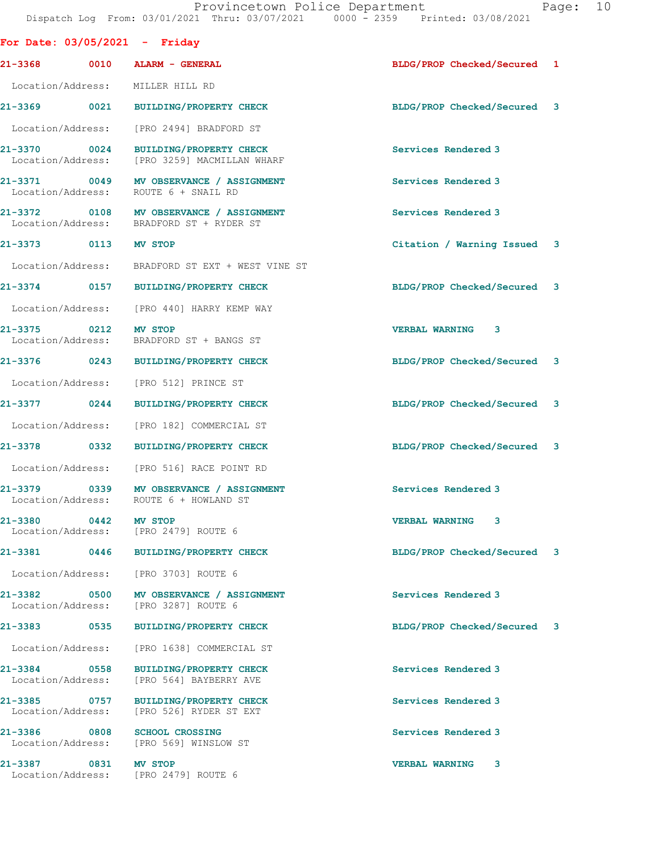| For Date: $03/05/2021$ - Friday      |                                                                                     |                             |
|--------------------------------------|-------------------------------------------------------------------------------------|-----------------------------|
| 21-3368 0010 ALARM - GENERAL         |                                                                                     | BLDG/PROP Checked/Secured 1 |
| Location/Address: MILLER HILL RD     |                                                                                     |                             |
|                                      | 21-3369 0021 BUILDING/PROPERTY CHECK                                                | BLDG/PROP Checked/Secured 3 |
|                                      | Location/Address: [PRO 2494] BRADFORD ST                                            |                             |
| 21-3370 0024                         | BUILDING/PROPERTY CHECK<br>Location/Address: [PRO 3259] MACMILLAN WHARF             | Services Rendered 3         |
|                                      | 21-3371 0049 MV OBSERVANCE / ASSIGNMENT<br>Location/Address: ROUTE 6 + SNAIL RD     | Services Rendered 3         |
|                                      | 21-3372 0108 MV OBSERVANCE / ASSIGNMENT<br>Location/Address: BRADFORD ST + RYDER ST | Services Rendered 3         |
| 21-3373 0113 MV STOP                 |                                                                                     | Citation / Warning Issued 3 |
|                                      | Location/Address: BRADFORD ST EXT + WEST VINE ST                                    |                             |
|                                      | 21-3374 0157 BUILDING/PROPERTY CHECK                                                | BLDG/PROP Checked/Secured 3 |
|                                      | Location/Address: [PRO 440] HARRY KEMP WAY                                          |                             |
| 21-3375 0212 MV STOP                 | Location/Address: BRADFORD ST + BANGS ST                                            | VERBAL WARNING 3            |
|                                      | 21-3376 0243 BUILDING/PROPERTY CHECK                                                | BLDG/PROP Checked/Secured 3 |
|                                      | Location/Address: [PRO 512] PRINCE ST                                               |                             |
| 21-3377 0244                         | BUILDING/PROPERTY CHECK                                                             | BLDG/PROP Checked/Secured 3 |
|                                      | Location/Address: [PRO 182] COMMERCIAL ST                                           |                             |
| 21-3378 0332                         | <b>BUILDING/PROPERTY CHECK</b>                                                      | BLDG/PROP Checked/Secured 3 |
|                                      | Location/Address: [PRO 516] RACE POINT RD                                           |                             |
|                                      | 21-3379 0339 MV OBSERVANCE / ASSIGNMENT<br>Location/Address: ROUTE 6 + HOWLAND ST   | Services Rendered 3         |
| 21-3380 0442 MV STOP                 | Location/Address: [PRO 2479] ROUTE 6                                                | VERBAL WARNING 3            |
| 21-3381 0446                         | BUILDING/PROPERTY CHECK                                                             | BLDG/PROP Checked/Secured 3 |
|                                      | Location/Address: [PRO 3703] ROUTE 6                                                |                             |
| 21-3382<br>Location/Address:         | 0500 MV OBSERVANCE / ASSIGNMENT<br>[PRO 3287] ROUTE 6                               | Services Rendered 3         |
| $21 - 3383$<br>0535                  | <b>BUILDING/PROPERTY CHECK</b>                                                      | BLDG/PROP Checked/Secured 3 |
| Location/Address:                    | [PRO 1638] COMMERCIAL ST                                                            |                             |
| 21-3384 0558                         | <b>BUILDING/PROPERTY CHECK</b><br>Location/Address: [PRO 564] BAYBERRY AVE          | Services Rendered 3         |
| 21–3385 0757                         | <b>BUILDING/PROPERTY CHECK</b><br>Location/Address: [PRO 526] RYDER ST EXT          | Services Rendered 3         |
| 21-3386<br>0808                      | <b>SCHOOL CROSSING</b><br>Location/Address: [PRO 569] WINSLOW ST                    | Services Rendered 3         |
| 21-3387<br>0831<br>Location/Address: | MV STOP<br>[PRO 2479] ROUTE 6                                                       | <b>VERBAL WARNING</b><br>3  |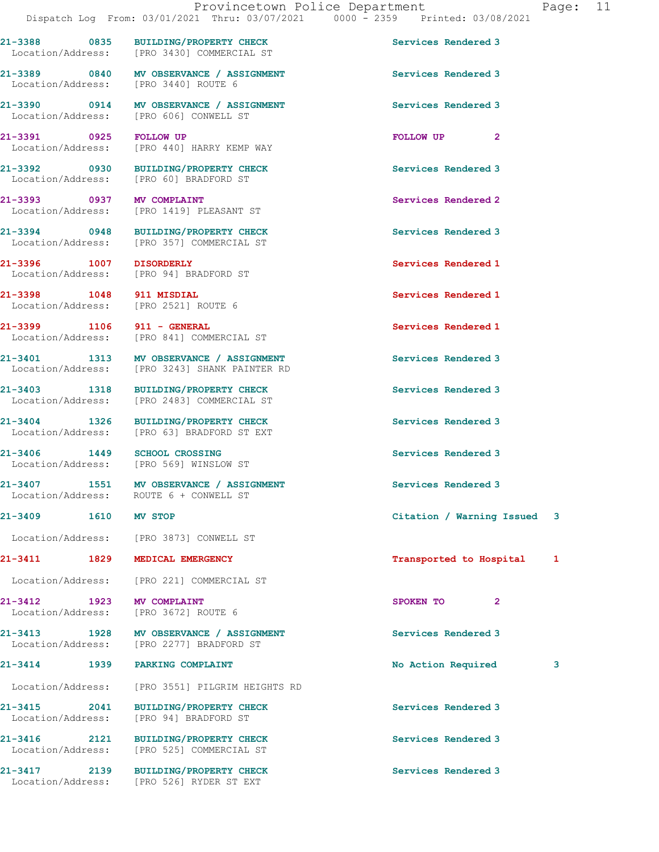21-3388 0835 BUILDING/PROPERTY CHECK Services Rendered 3 Location/Address: [PRO 3430] COMMERCIAL ST 21-3389 0840 MV OBSERVANCE / ASSIGNMENT Services Rendered 3 Location/Address: [PRO 3440] ROUTE 6 21-3390 0914 MV OBSERVANCE / ASSIGNMENT Services Rendered 3 Location/Address: [PRO 606] CONWELL ST 21-3391 0925 FOLLOW UP POLLOW TO FOLLOW UP 2<br>
Location/Address: [PRO 440] HARRY KEMP WAY [PRO 440] HARRY KEMP WAY 21-3392 0930 BUILDING/PROPERTY CHECK Services Rendered 3 Location/Address: [PRO 60] BRADFORD ST 21-3393 0937 MV COMPLAINT Services Rendered 2 Location/Address: [PRO 1419] PLEASANT ST 21-3394 0948 BUILDING/PROPERTY CHECK Services Rendered 3 [PRO 357] COMMERCIAL ST 21-3396 1007 DISORDERLY Services Rendered 1 Location/Address: [PRO 94] BRADFORD ST 21-3398 1048 911 MISDIAL Services Rendered 1 Location/Address: [PRO 2521] ROUTE 6 21-3399 1106 911 - GENERAL Services Rendered 1 Location/Address: [PRO 841] COMMERCIAL ST 21-3401 1313 MV OBSERVANCE / ASSIGNMENT Services Rendered 3 Location/Address: [PRO 3243] SHANK PAINTER RD 21-3403 1318 BUILDING/PROPERTY CHECK Services Rendered 3<br>
Location/Address: [PRO 2483] COMMERCIAL ST [PRO 2483] COMMERCIAL ST 21-3404 1326 BUILDING/PROPERTY CHECK Services Rendered 3 Location/Address: [PRO 63] BRADFORD ST EXT 21-3406 1449 SCHOOL CROSSING<br>
Location/Address: [PRO 569] WINSLOW ST Location/Address: 21-3407 1551 MV OBSERVANCE / ASSIGNMENT Services Rendered 3 Location/Address: ROUTE 6 + CONWELL ST 21-3409 1610 MV STOP Citation / Warning Issued 3 Location/Address: [PRO 3873] CONWELL ST 21-3411 1829 MEDICAL EMERGENCY **1820 121-3411** 1829 MEDICAL EMERGENCY Location/Address: [PRO 221] COMMERCIAL ST 21-3412 1923 MV COMPLAINT SPOKEN TO 2 Location/Address: [PRO 3672] ROUTE 6 21-3413 1928 MV OBSERVANCE / ASSIGNMENT Services Rendered 3 Location/Address: [PRO 2277] BRADFORD ST 21-3414 1939 PARKING COMPLAINT 1988 10 No Action Required 3 Location/Address: [PRO 3551] PILGRIM HEIGHTS RD 21-3415 2041 BUILDING/PROPERTY CHECK Services Rendered 3 Location/Address: [PRO 94] BRADFORD ST 21-3416 2121 BUILDING/PROPERTY CHECK Services Rendered 3<br>
Location/Address: [PRO 525] COMMERCIAL ST [PRO 525] COMMERCIAL ST 21-3417 2139 BUILDING/PROPERTY CHECK Services Rendered 3 Location/Address: [PRO 526] RYDER ST EXT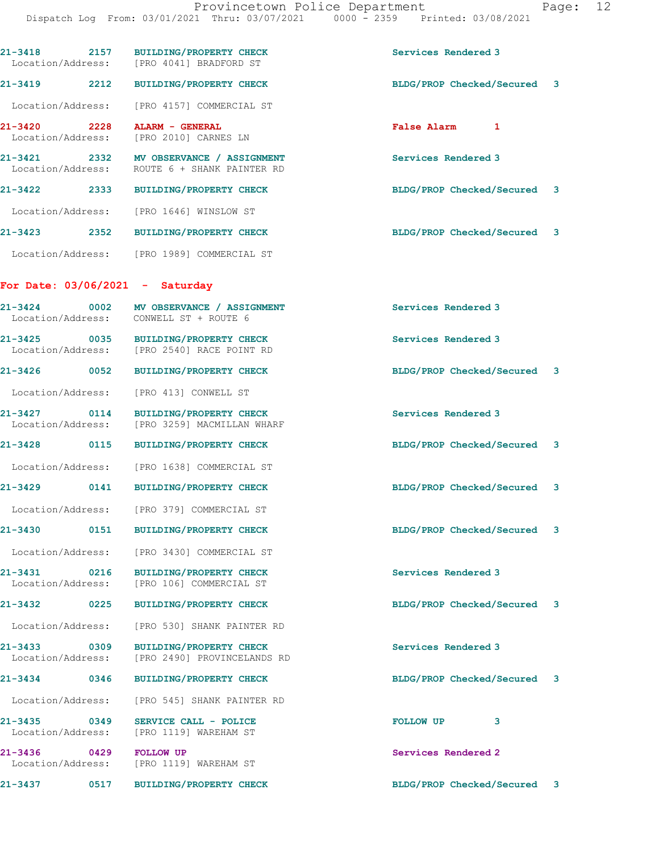| 21-3418<br>2157<br>Location/Address: | <b>BUILDING/PROPERTY CHECK</b><br>[PRO 4041] BRADFORD ST                           | Services Rendered 3                       |
|--------------------------------------|------------------------------------------------------------------------------------|-------------------------------------------|
| 21-3419<br>2212                      | <b>BUILDING/PROPERTY CHECK</b>                                                     | BLDG/PROP Checked/Secured 3               |
| Location/Address:                    | [PRO 4157] COMMERCIAL ST                                                           |                                           |
| 21-3420<br>2228<br>Location/Address: | ALARM - GENERAL<br>[PRO 2010] CARNES LN                                            | <b>False Alarm</b><br>1                   |
| 21-3421<br>Location/Address:         | 2332 MV OBSERVANCE / ASSIGNMENT<br>ROUTE 6 + SHANK PAINTER RD                      | Services Rendered 3                       |
| 21-3422<br>2333                      | <b>BUILDING/PROPERTY CHECK</b>                                                     | BLDG/PROP Checked/Secured 3               |
|                                      | Location/Address: [PRO 1646] WINSLOW ST                                            |                                           |
|                                      | 21-3423 2352 BUILDING/PROPERTY CHECK                                               | BLDG/PROP Checked/Secured 3               |
|                                      | Location/Address: [PRO 1989] COMMERCIAL ST                                         |                                           |
| For Date: $03/06/2021 -$ Saturday    |                                                                                    |                                           |
| $21 - 3424$ 0002                     | MV OBSERVANCE / ASSIGNMENT<br>Location/Address: CONWELL ST + ROUTE 6               | Services Rendered 3                       |
|                                      | 21-3425 0035 BUILDING/PROPERTY CHECK<br>Location/Address: [PRO 2540] RACE POINT RD | Services Rendered 3                       |
| 21-3426<br>$\sim$ 0052               | <b>BUILDING/PROPERTY CHECK</b>                                                     | BLDG/PROP Checked/Secured<br>3            |
| Location/Address:                    | [PRO 413] CONWELL ST                                                               |                                           |
| 21-3427 0114<br>Location/Address:    | BUILDING/PROPERTY CHECK<br>[PRO 3259] MACMILLAN WHARF                              | Services Rendered 3                       |
| 21-3428<br>0115                      | <b>BUILDING/PROPERTY CHECK</b>                                                     | BLDG/PROP Checked/Secured 3               |
| Location/Address:                    | [PRO 1638] COMMERCIAL ST                                                           |                                           |
| 21-3429                              | 0141 BUILDING/PROPERTY CHECK                                                       | BLDG/PROP Checked/Secured<br>$\mathbf{3}$ |
|                                      | Location/Address: [PRO 379] COMMERCIAL ST                                          |                                           |
| 0151<br>21-3430                      | <b>BUILDING/PROPERTY CHECK</b>                                                     | BLDG/PROP Checked/Secured<br>3            |
|                                      | Location/Address: [PRO 3430] COMMERCIAL ST                                         |                                           |
| 21-3431 0216<br>Location/Address:    | <b>BUILDING/PROPERTY CHECK</b><br>[PRO 106] COMMERCIAL ST                          | Services Rendered 3                       |
| 21-3432                              | 0225 BUILDING/PROPERTY CHECK                                                       | BLDG/PROP Checked/Secured 3               |
| Location/Address:                    | [PRO 530] SHANK PAINTER RD                                                         |                                           |
| 21-3433 0309<br>Location/Address:    | <b>BUILDING/PROPERTY CHECK</b><br>[PRO 2490] PROVINCELANDS RD                      | Services Rendered 3                       |
| 21-3434 0346                         | BUILDING/PROPERTY CHECK                                                            | BLDG/PROP Checked/Secured 3               |
| Location/Address:                    | [PRO 545] SHANK PAINTER RD                                                         |                                           |
| 21-3435 0349<br>Location/Address:    | SERVICE CALL - POLICE<br>[PRO 1119] WAREHAM ST                                     | <b>FOLLOW UP</b><br>3                     |
| 21-3436 0429<br>Location/Address:    | <b>FOLLOW UP</b><br>[PRO 1119] WAREHAM ST                                          | Services Rendered 2                       |
| 21-3437                              | 0517 BUILDING/PROPERTY CHECK                                                       | BLDG/PROP Checked/Secured 3               |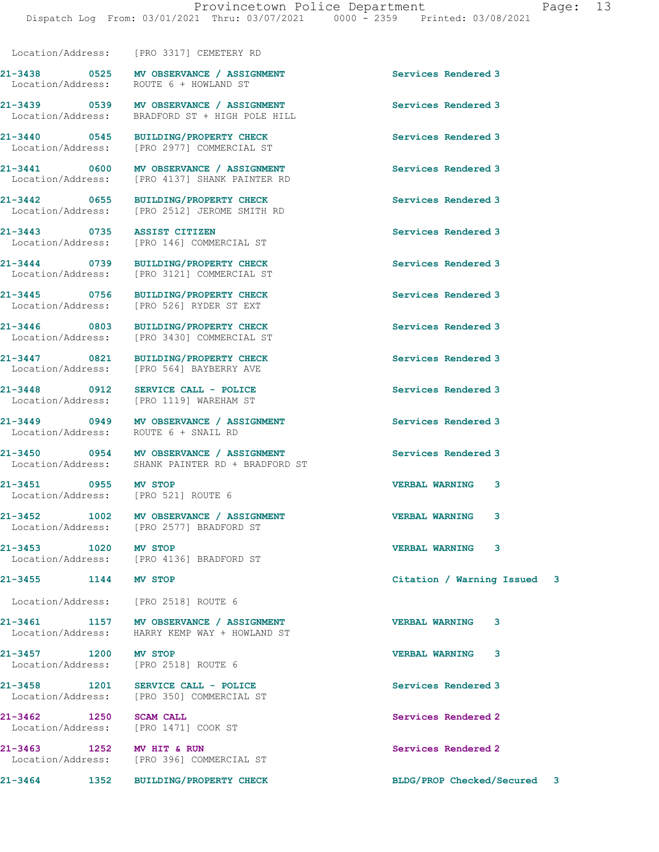Location/Address: [PRO 3317] CEMETERY RD

21-3438 0525 MV OBSERVANCE / ASSIGNMENT Services Rendered 3

Location/Address: [PRO 2512] JEROME SMITH RD

21-3451 0955 MV STOP VERBAL WARNING 3 Location/Address: [PRO 521] ROUTE 6

21-3457 1200 MV STOP VERBAL WARNING 3

21-3458 1201 SERVICE CALL - POLICE Services Rendered 3

21-3462 1250 SCAM CALL Services Rendered 2

Location/Address: ROUTE 6 + HOWLAND ST

21-3439 0539 MV OBSERVANCE / ASSIGNMENT Services Rendered 3 Location/Address: BRADFORD ST + HIGH POLE HILL

21-3440 0545 BUILDING/PROPERTY CHECK Services Rendered 3 [PRO 2977] COMMERCIAL ST

21-3441 0600 MV OBSERVANCE / ASSIGNMENT Services Rendered 3<br>
Location/Address: [PRO 4137] SHANK PAINTER RD [PRO 4137] SHANK PAINTER RD

21-3442 0655 BUILDING/PROPERTY CHECK Services Rendered 3

21-3443 0735 ASSIST CITIZEN Services Rendered 3 [PRO 146] COMMERCIAL ST

21-3444 0739 BUILDING/PROPERTY CHECK Services Rendered 3 Location/Address: [PRO 3121] COMMERCIAL ST

21-3445 0756 BUILDING/PROPERTY CHECK Services Rendered 3 Location/Address: [PRO 526] RYDER ST EXT

21-3446 0803 BUILDING/PROPERTY CHECK Services Rendered 3 Location/Address: [PRO 3430] COMMERCIAL ST

21-3447 0821 BUILDING/PROPERTY CHECK Services Rendered 3 Location/Address: [PRO 564] BAYBERRY AVE

21-3448 0912 SERVICE CALL - POLICE (2008) Services Rendered 3<br>
Location/Address: [PRO 1119] WAREHAM ST Location/Address: [PRO 1119] WAREHAM ST

21-3449 0949 MV OBSERVANCE / ASSIGNMENT Services Rendered 3 Location/Address: ROUTE 6 + SNAIL RD

21-3450 0954 MV OBSERVANCE / ASSIGNMENT Services Rendered 3 Location/Address: SHANK PAINTER RD + BRADFORD ST

21-3452 1002 MV OBSERVANCE / ASSIGNMENT VERBAL WARNING 3 Location/Address: [PRO 2577] BRADFORD ST

21-3453 1020 MV STOP VERBAL WARNING 3 Location/Address: [PRO 4136] BRADFORD ST

Location/Address: [PRO 2518] ROUTE 6

21-3461 1157 MV OBSERVANCE / ASSIGNMENT VERBAL WARNING 3 Location/Address: HARRY KEMP WAY + HOWLAND ST

Location/Address: [PRO 2518] ROUTE 6

Location/Address: [PRO 350] COMMERCIAL ST

Location/Address: [PRO 1471] COOK ST

21-3463 1252 MV HIT & RUN Services Rendered 2<br>
Location/Address: [PRO 396] COMMERCIAL ST [PRO 396] COMMERCIAL ST

21-3455 1144 MV STOP Citation / Warning Issued 3

21-3464 1352 BUILDING/PROPERTY CHECK BLDG/PROP Checked/Secured 3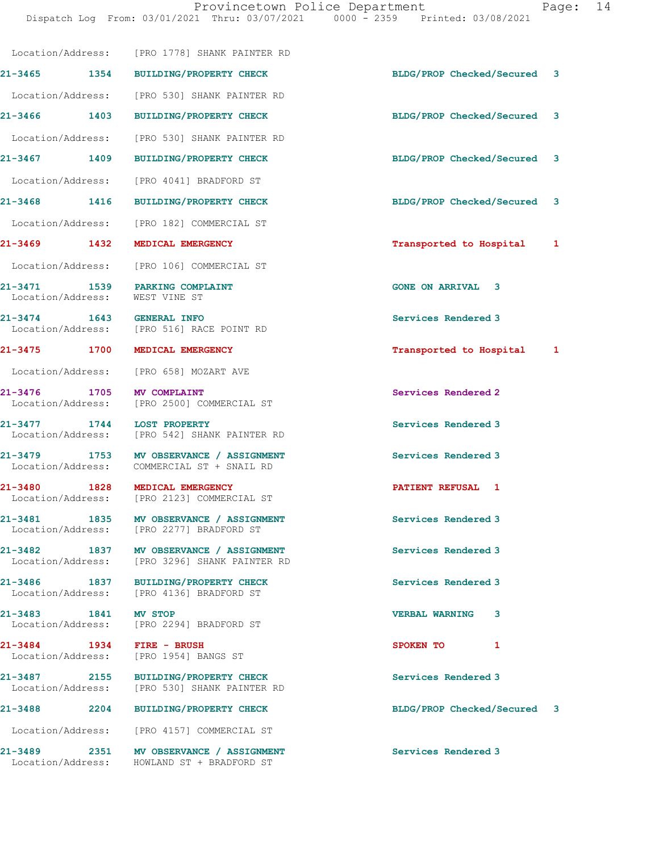Dispatch Log From: 03/01/2021 Thru: 03/07/2021 0000 - 2359 Printed: 03/08/2021

|         |                      | Location/Address: [PRO 1778] SHANK PAINTER RD                                            |                             |   |
|---------|----------------------|------------------------------------------------------------------------------------------|-----------------------------|---|
|         |                      | 21-3465 1354 BUILDING/PROPERTY CHECK                                                     | BLDG/PROP Checked/Secured   | 3 |
|         |                      | Location/Address: [PRO 530] SHANK PAINTER RD                                             |                             |   |
|         |                      | 21-3466 1403 BUILDING/PROPERTY CHECK                                                     | BLDG/PROP Checked/Secured 3 |   |
|         | Location/Address:    | [PRO 530] SHANK PAINTER RD                                                               |                             |   |
|         | 21-3467 1409         | <b>BUILDING/PROPERTY CHECK</b>                                                           | BLDG/PROP Checked/Secured 3 |   |
|         | Location/Address:    | [PRO 4041] BRADFORD ST                                                                   |                             |   |
|         |                      | 21-3468 1416 BUILDING/PROPERTY CHECK                                                     | BLDG/PROP Checked/Secured   | 3 |
|         |                      | Location/Address: [PRO 182] COMMERCIAL ST                                                |                             |   |
|         |                      | 21-3469 1432 MEDICAL EMERGENCY                                                           | Transported to Hospital 1   |   |
|         |                      | Location/Address: [PRO 106] COMMERCIAL ST                                                |                             |   |
|         |                      | 21-3471 1539 PARKING COMPLAINT<br>Location/Address: WEST VINE ST                         | <b>GONE ON ARRIVAL 3</b>    |   |
|         |                      | 21-3474 1643 GENERAL INFO<br>Location/Address: [PRO 516] RACE POINT RD                   | Services Rendered 3         |   |
|         |                      | 21-3475 1700 MEDICAL EMERGENCY                                                           | Transported to Hospital 1   |   |
|         |                      | Location/Address: [PRO 658] MOZART AVE                                                   |                             |   |
|         |                      | 21-3476 1705 MV COMPLAINT<br>Location/Address: [PRO 2500] COMMERCIAL ST                  | Services Rendered 2         |   |
|         |                      | 21-3477 1744 LOST PROPERTY<br>Location/Address: [PRO 542] SHANK PAINTER RD               | Services Rendered 3         |   |
|         |                      | 21-3479 1753 MV OBSERVANCE / ASSIGNMENT<br>Location/Address: COMMERCIAL ST + SNAIL RD    | Services Rendered 3         |   |
|         |                      | 21-3480 1828 MEDICAL EMERGENCY<br>Location/Address: [PRO 2123] COMMERCIAL ST             | PATIENT REFUSAL 1           |   |
|         | 21-3481 1835         | MV OBSERVANCE / ASSIGNMENT<br>Location/Address: [PRO 2277] BRADFORD ST                   | Services Rendered 3         |   |
|         |                      | 21-3482 1837 MV OBSERVANCE / ASSIGNMENT<br>Location/Address: [PRO 3296] SHANK PAINTER RD | Services Rendered 3         |   |
|         |                      | 21-3486 1837 BUILDING/PROPERTY CHECK<br>Location/Address: [PRO 4136] BRADFORD ST         | Services Rendered 3         |   |
|         | 21-3483 1841 MV STOP | Location/Address: [PRO 2294] BRADFORD ST                                                 | <b>VERBAL WARNING</b><br>3  |   |
|         |                      | 21-3484 1934 FIRE - BRUSH<br>Location/Address: [PRO 1954] BANGS ST                       | SPOKEN TO<br>1              |   |
|         |                      | 21-3487 2155 BUILDING/PROPERTY CHECK<br>Location/Address: [PRO 530] SHANK PAINTER RD     | Services Rendered 3         |   |
| 21-3488 | 2204                 | <b>BUILDING/PROPERTY CHECK</b>                                                           | BLDG/PROP Checked/Secured 3 |   |
|         |                      | Location/Address: [PRO 4157] COMMERCIAL ST                                               |                             |   |
|         |                      | 21-3489 2351 MV OBSERVANCE / ASSIGNMENT<br>Location/Address: HOWLAND ST + BRADFORD ST    | Services Rendered 3         |   |
|         |                      |                                                                                          |                             |   |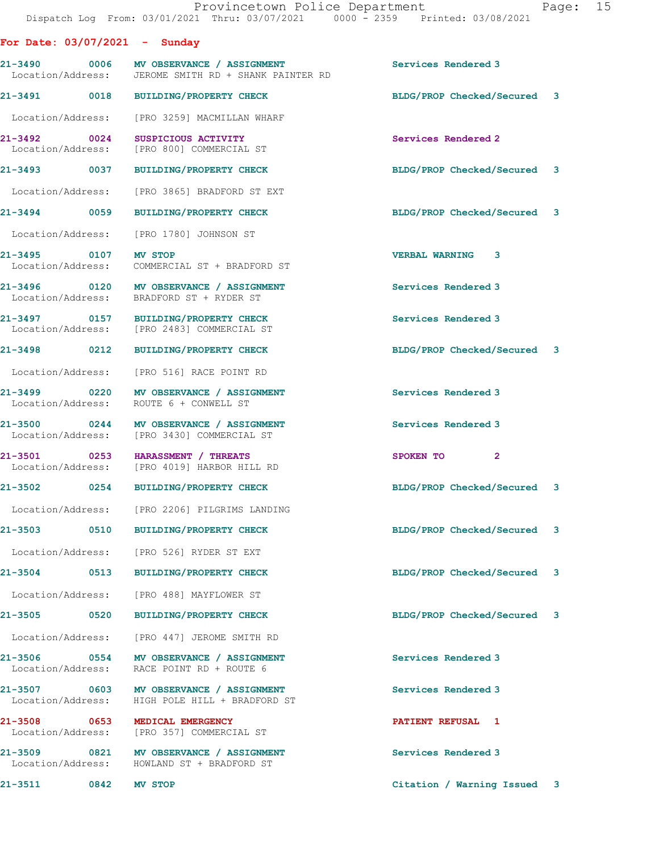For Date: 03/07/2021 - Sunday 21-3490 0006 MV OBSERVANCE / ASSIGNMENT Services Rendered 3 Location/Address: JEROME SMITH RD + SHANK PAINTER RD 21-3491 0018 BUILDING/PROPERTY CHECK BLDG/PROP Checked/Secured 3 Location/Address: [PRO 3259] MACMILLAN WHARF 21-3492 0024 SUSPICIOUS ACTIVITY Services Rendered 2 Location/Address: [PRO 800] COMMERCIAL ST 21-3493 0037 BUILDING/PROPERTY CHECK BLDG/PROP Checked/Secured 3 Location/Address: [PRO 3865] BRADFORD ST EXT 21-3494 0059 BUILDING/PROPERTY CHECK BLDG/PROP Checked/Secured 3 Location/Address: [PRO 1780] JOHNSON ST 21-3495 0107 MV STOP VERBAL WARNING 3 Location/Address: COMMERCIAL ST + BRADFORD ST 21-3496 0120 MV OBSERVANCE / ASSIGNMENT Services Rendered 3 Location/Address: BRADFORD ST + RYDER ST 21-3497 0157 BUILDING/PROPERTY CHECK Services Rendered 3 Location/Address: [PRO 2483] COMMERCIAL ST 21-3498 0212 BUILDING/PROPERTY CHECK BLDG/PROP Checked/Secured 3 Location/Address: [PRO 516] RACE POINT RD 21-3499 0220 MV OBSERVANCE / ASSIGNMENT Services Rendered 3 Location/Address: ROUTE 6 + CONWELL ST 21-3500 0244 MV OBSERVANCE / ASSIGNMENT Services Rendered 3 Location/Address: [PRO 3430] COMMERCIAL ST 21-3501 0253 HARASSMENT / THREATS SPOKEN TO 2 Location/Address: [PRO 4019] HARBOR HILL RD 21-3502 0254 BUILDING/PROPERTY CHECK BLDG/PROP Checked/Secured 3 Location/Address: [PRO 2206] PILGRIMS LANDING 21-3503 0510 BUILDING/PROPERTY CHECK BLDG/PROP Checked/Secured 3 Location/Address: [PRO 526] RYDER ST EXT 21-3504 0513 BUILDING/PROPERTY CHECK BLDG/PROP Checked/Secured 3 Location/Address: [PRO 488] MAYFLOWER ST 21-3505 0520 BUILDING/PROPERTY CHECK BLDG/PROP Checked/Secured 3 Location/Address: [PRO 447] JEROME SMITH RD 21-3506 0554 MV OBSERVANCE / ASSIGNMENT Services Rendered 3 Location/Address: RACE POINT RD + ROUTE 6 21-3507 0603 MV OBSERVANCE / ASSIGNMENT Services Rendered 3 Location/Address: HIGH POLE HILL + BRADFORD ST 21-3508 0653 MEDICAL EMERGENCY **PATIENT REFUSAL** 1 Location/Address: [PRO 357] COMMERCIAL ST 21-3509 0821 MV OBSERVANCE / ASSIGNMENT Services Rendered 3<br>
Location/Address: HOWLAND ST + BRADFORD ST Location/Address: HOWLAND ST + BRADFORD ST

21-3511 0842 MV STOP Citation / Warning Issued 3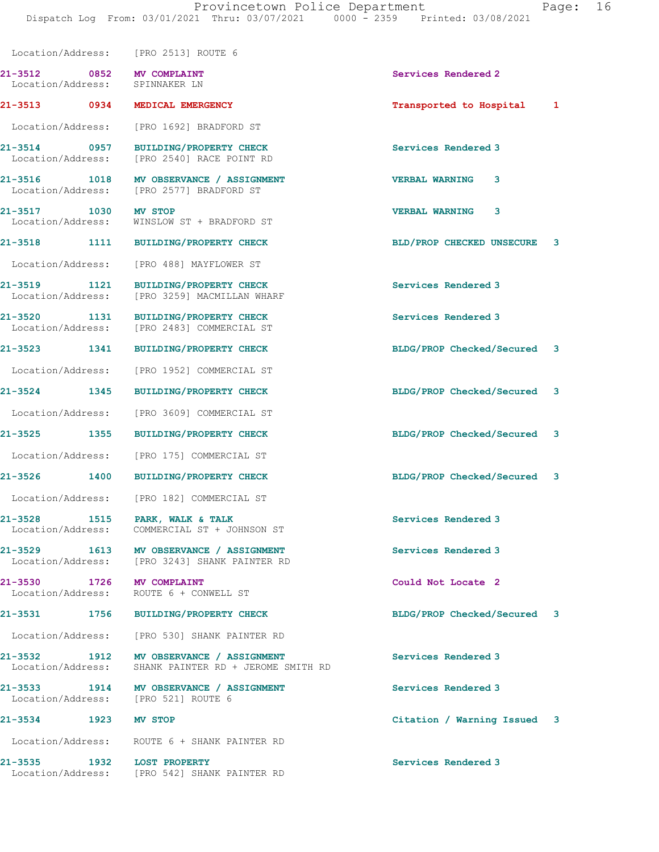|                                                             | Location/Address: [PRO 2513] ROUTE 6                                                     |                             |   |
|-------------------------------------------------------------|------------------------------------------------------------------------------------------|-----------------------------|---|
| 21-3512 0852 MV COMPLAINT<br>Location/Address: SPINNAKER LN |                                                                                          | Services Rendered 2         |   |
| 21-3513 0934                                                | MEDICAL EMERGENCY                                                                        | Transported to Hospital     | 1 |
| Location/Address:                                           | [PRO 1692] BRADFORD ST                                                                   |                             |   |
| 21-3514 0957<br>Location/Address:                           | <b>BUILDING/PROPERTY CHECK</b><br>[PRO 2540] RACE POINT RD                               | Services Rendered 3         |   |
| 21-3516 1018<br>Location/Address:                           | MV OBSERVANCE / ASSIGNMENT<br>[PRO 2577] BRADFORD ST                                     | <b>VERBAL WARNING</b><br>3. |   |
| 21-3517 1030<br>Location/Address:                           | MV STOP<br>WINSLOW ST + BRADFORD ST                                                      | <b>VERBAL WARNING</b><br>3  |   |
| 21-3518 1111                                                | <b>BUILDING/PROPERTY CHECK</b>                                                           | BLD/PROP CHECKED UNSECURE   | 3 |
|                                                             | Location/Address: [PRO 488] MAYFLOWER ST                                                 |                             |   |
| 21-3519 1121<br>Location/Address:                           | <b>BUILDING/PROPERTY CHECK</b><br>[PRO 3259] MACMILLAN WHARF                             | Services Rendered 3         |   |
| 21-3520 1131<br>Location/Address:                           | <b>BUILDING/PROPERTY CHECK</b><br>[PRO 2483] COMMERCIAL ST                               | Services Rendered 3         |   |
| 21-3523 1341                                                | <b>BUILDING/PROPERTY CHECK</b>                                                           | BLDG/PROP Checked/Secured 3 |   |
| Location/Address:                                           | [PRO 1952] COMMERCIAL ST                                                                 |                             |   |
| 21-3524 1345                                                | <b>BUILDING/PROPERTY CHECK</b>                                                           | BLDG/PROP Checked/Secured 3 |   |
|                                                             | Location/Address: [PRO 3609] COMMERCIAL ST                                               |                             |   |
| 21-3525 1355                                                | <b>BUILDING/PROPERTY CHECK</b>                                                           | BLDG/PROP Checked/Secured 3 |   |
| Location/Address:                                           | [PRO 175] COMMERCIAL ST                                                                  |                             |   |
| $21 - 3526$<br>1400                                         | <b>BUILDING/PROPERTY CHECK</b>                                                           | BLDG/PROP Checked/Secured 3 |   |
|                                                             | Location/Address: [PRO 182] COMMERCIAL ST                                                |                             |   |
| $21 - 3528$<br>Location/Address:                            | 1515 PARK, WALK & TALK<br>COMMERCIAL ST + JOHNSON ST                                     | Services Rendered 3         |   |
|                                                             | 21-3529 1613 MV OBSERVANCE / ASSIGNMENT<br>Location/Address: [PRO 3243] SHANK PAINTER RD | Services Rendered 3         |   |
| 21-3530 1726 MV COMPLAINT                                   | Location/Address: ROUTE 6 + CONWELL ST                                                   | Could Not Locate 2          |   |
|                                                             | 21-3531 1756 BUILDING/PROPERTY CHECK                                                     | BLDG/PROP Checked/Secured 3 |   |
| Location/Address:                                           | [PRO 530] SHANK PAINTER RD                                                               |                             |   |
| $21 - 3532$<br>Location/Address:                            | 1912 MV OBSERVANCE / ASSIGNMENT<br>SHANK PAINTER RD + JEROME SMITH RD                    | Services Rendered 3         |   |
|                                                             | 21-3533 1914 MV OBSERVANCE / ASSIGNMENT<br>Location/Address: [PRO 521] ROUTE 6           | Services Rendered 3         |   |
| 21-3534 1923 MV STOP                                        |                                                                                          | Citation / Warning Issued 3 |   |
|                                                             | Location/Address: ROUTE 6 + SHANK PAINTER RD                                             |                             |   |
| $21 - 3535$                                                 | 1932 LOST PROPERTY<br>Location/Address: [PRO 542] SHANK PAINTER RD                       | Services Rendered 3         |   |